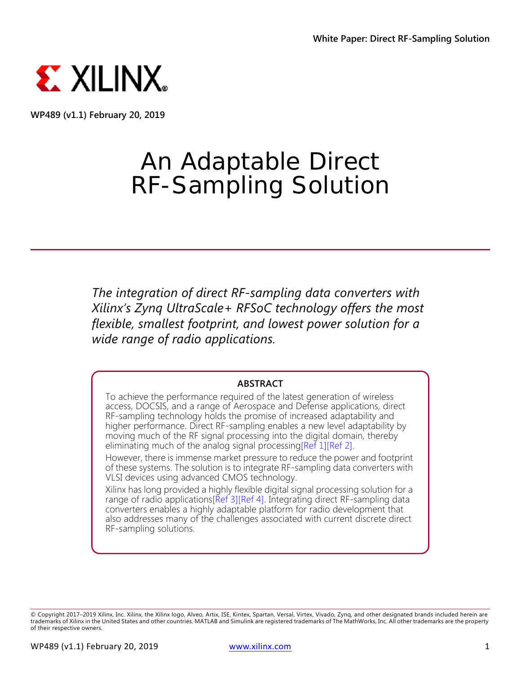

**WP489 (v1.1) February 20, 2019**

# An Adaptable Direct RF-Sampling Solution

*The integration of direct RF-sampling data converters with Xilinx's Zynq UltraScale+ RFSoC technology offers the most flexible, smallest footprint, and lowest power solution for a wide range of radio applications.*

#### **ABSTRACT**

To achieve the performance required of the latest generation of wireless access, DOCSIS, and a range of Aerospace and Defense applications, direct RF-sampling technology holds the promise of increased adaptability and higher performance. Direct RF-sampling enables a new level adaptability by moving much of the RF signal processing into the digital domain, thereby eliminating much of the analog signal processing[\[Ref 1\]](#page-10-0)[\[Ref 2\]](#page-10-1).

However, there is immense market pressure to reduce the power and footprint of these systems. The solution is to integrate RF-sampling data converters with VLSI devices using advanced CMOS technology.

Xilinx has long provided a highly flexible digital signal processing solution for a range of radio applications[\[Ref 3\]](#page-10-2)[\[Ref 4\]](#page-10-3). Integrating direct RF-sampling data converters enables a highly adaptable platform for radio development that also addresses many of the challenges associated with current discrete direct RF-sampling solutions.

<sup>©</sup> Copyright 2017–2019 Xilinx, Inc. Xilinx, the Xilinx logo, Alveo, Artix, ISE, Kintex, Spartan, Versal, Virtex, Vivado, Zynq, and other designated brands included herein are trademarks of Xilinx in the United States and other countries. MATLAB and Simulink are registered trademarks of The MathWorks, Inc. All other trademarks are the property of their respective owners.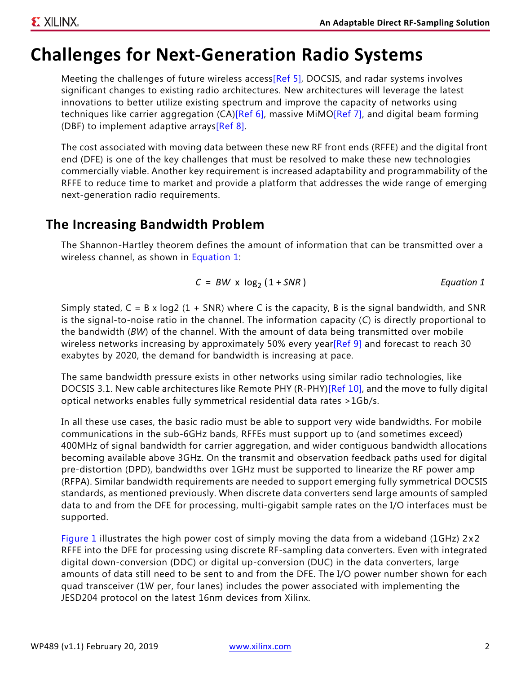## <span id="page-1-1"></span>**Challenges for Next-Generation Radio Systems**

Meeting the challenges of future wireless access[\[Ref 5\]](#page-10-4), DOCSIS, and radar systems involves significant changes to existing radio architectures. New architectures will leverage the latest innovations to better utilize existing spectrum and improve the capacity of networks using techniques like carrier aggregation (CA)[\[Ref 6\]](#page-10-5), massive MiMO[\[Ref 7\],](#page-10-6) and digital beam forming (DBF) to implement adaptive arrays[\[Ref 8\].](#page-10-9)

The cost associated with moving data between these new RF front ends (RFFE) and the digital front end (DFE) is one of the key challenges that must be resolved to make these new technologies commercially viable. Another key requirement is increased adaptability and programmability of the RFFE to reduce time to market and provide a platform that addresses the wide range of emerging next-generation radio requirements.

### **The Increasing Bandwidth Problem**

The Shannon-Hartley theorem defines the amount of information that can be transmitted over a wireless channel, as shown in [Equation 1:](#page-1-0)

$$
C = BW \times \log_2(1 + SNR)
$$
 *Equation 1*

<span id="page-1-0"></span>Simply stated,  $C = B \times \log_2 (1 + SNR)$  where C is the capacity, B is the signal bandwidth, and SNR is the signal-to-noise ratio in the channel. The information capacity (*C*) is directly proportional to the bandwidth (*BW*) of the channel. With the amount of data being transmitted over mobile wireless networks increasing by approximately 50% every year  $[Ref 9]$  and forecast to reach 30 exabytes by 2020, the demand for bandwidth is increasing at pace.

The same bandwidth pressure exists in other networks using similar radio technologies, like DOCSIS 3.1. New cable architectures like Remote PHY (R-PHY)[\[Ref 10\],](#page-10-8) and the move to fully digital optical networks enables fully symmetrical residential data rates >1Gb/s.

In all these use cases, the basic radio must be able to support very wide bandwidths. For mobile communications in the sub-6GHz bands, RFFEs must support up to (and sometimes exceed) 400MHz of signal bandwidth for carrier aggregation, and wider contiguous bandwidth allocations becoming available above 3GHz. On the transmit and observation feedback paths used for digital pre-distortion (DPD), bandwidths over 1GHz must be supported to linearize the RF power amp (RFPA). Similar bandwidth requirements are needed to support emerging fully symmetrical DOCSIS standards, as mentioned previously. When discrete data converters send large amounts of sampled data to and from the DFE for processing, multi-gigabit sample rates on the I/O interfaces must be supported.

[Figure 1](#page-2-0) illustrates the high power cost of simply moving the data from a wideband (1GHz)  $2 \times 2$ RFFE into the DFE for processing using discrete RF-sampling data converters. Even with integrated digital down-conversion (DDC) or digital up-conversion (DUC) in the data converters, large amounts of data still need to be sent to and from the DFE. The I/O power number shown for each quad transceiver (1W per, four lanes) includes the power associated with implementing the JESD204 protocol on the latest 16nm devices from Xilinx.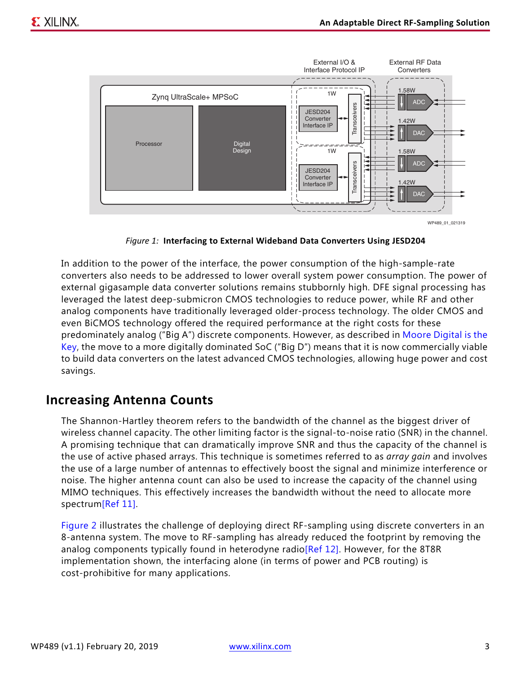<span id="page-2-0"></span>

*Figure 1:* **Interfacing to External Wideband Data Converters Using JESD204**

In addition to the power of the interface, the power consumption of the high-sample-rate converters also needs to be addressed to lower overall system power consumption. The power of external gigasample data converter solutions remains stubbornly high. DFE signal processing has leveraged the latest deep-submicron CMOS technologies to reduce power, while RF and other analog components have traditionally leveraged older-process technology. The older CMOS and even BiCMOS technology offered the required performance at the right costs for these predominately analog ("Big A") discrete components. However, as described in [Moore Digital is the](#page-4-0)  [Key](#page-4-0), the move to a more digitally dominated SoC ("Big D") means that it is now commercially viable to build data converters on the latest advanced CMOS technologies, allowing huge power and cost savings.

#### **Increasing Antenna Counts**

The Shannon-Hartley theorem refers to the bandwidth of the channel as the biggest driver of wireless channel capacity. The other limiting factor is the signal-to-noise ratio (SNR) in the channel. A promising technique that can dramatically improve SNR and thus the capacity of the channel is the use of active phased arrays. This technique is sometimes referred to as *array gain* and involves the use of a large number of antennas to effectively boost the signal and minimize interference or noise. The higher antenna count can also be used to increase the capacity of the channel using MIMO techniques. This effectively increases the bandwidth without the need to allocate more spectrum[\[Ref 11\].](#page-10-11)

[Figure 2](#page-3-0) illustrates the challenge of deploying direct RF-sampling using discrete converters in an 8-antenna system. The move to RF-sampling has already reduced the footprint by removing the analog components typically found in heterodyne radi[o\[Ref 12\]](#page-10-10). However, for the 8T8R implementation shown, the interfacing alone (in terms of power and PCB routing) is cost-prohibitive for many applications.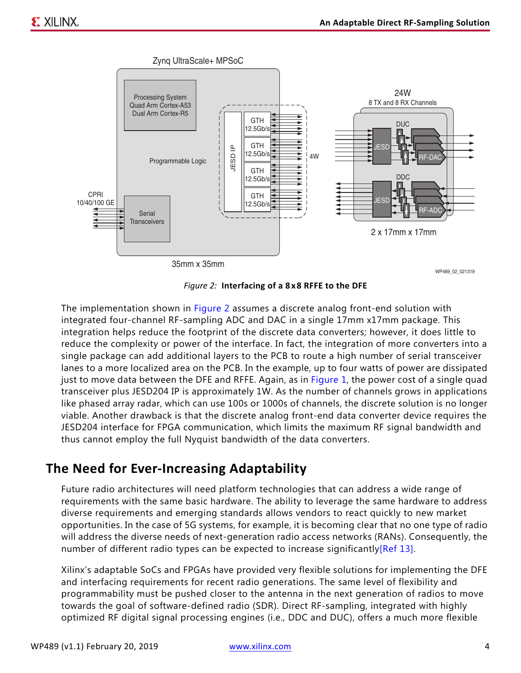<span id="page-3-0"></span>

*Figure 2:* **Interfacing of a 8 x 8 RFFE to the DFE**

The implementation shown in [Figure 2](#page-3-0) assumes a discrete analog front-end solution with integrated four-channel RF-sampling ADC and DAC in a single 17mm x17mm package. This integration helps reduce the footprint of the discrete data converters; however, it does little to reduce the complexity or power of the interface. In fact, the integration of more converters into a single package can add additional layers to the PCB to route a high number of serial transceiver lanes to a more localized area on the PCB. In the example, up to four watts of power are dissipated just to move data between the DFE and RFFE. Again, as in [Figure 1,](#page-2-0) the power cost of a single quad transceiver plus JESD204 IP is approximately 1W. As the number of channels grows in applications like phased array radar, which can use 100s or 1000s of channels, the discrete solution is no longer viable. Another drawback is that the discrete analog front-end data converter device requires the JESD204 interface for FPGA communication, which limits the maximum RF signal bandwidth and thus cannot employ the full Nyquist bandwidth of the data converters.

### **The Need for Ever-Increasing Adaptability**

Future radio architectures will need platform technologies that can address a wide range of requirements with the same basic hardware. The ability to leverage the same hardware to address diverse requirements and emerging standards allows vendors to react quickly to new market opportunities. In the case of 5G systems, for example, it is becoming clear that no one type of radio will address the diverse needs of next-generation radio access networks (RANs). Consequently, the number of different radio types can be expected to increase significantly[\[Ref 13\]](#page-10-12).

Xilinx's adaptable SoCs and FPGAs have provided very flexible solutions for implementing the DFE and interfacing requirements for recent radio generations. The same level of flexibility and programmability must be pushed closer to the antenna in the next generation of radios to move towards the goal of software-defined radio (SDR). Direct RF-sampling, integrated with highly optimized RF digital signal processing engines (i.e., DDC and DUC), offers a much more flexible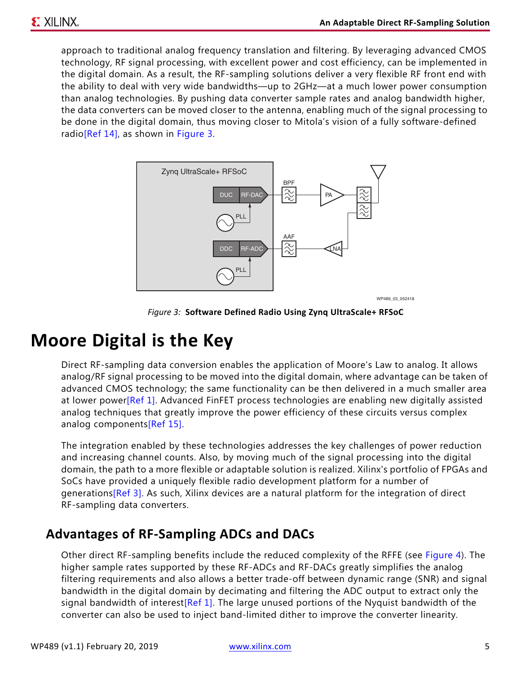approach to traditional analog frequency translation and filtering. By leveraging advanced CMOS technology, RF signal processing, with excellent power and cost efficiency, can be implemented in the digital domain. As a result, the RF-sampling solutions deliver a very flexible RF front end with the ability to deal with very wide bandwidths—up to 2GHz—at a much lower power consumption than analog technologies. By pushing data converter sample rates and analog bandwidth higher, the data converters can be moved closer to the antenna, enabling much of the signal processing to be done in the digital domain, thus moving closer to Mitola's vision of a fully software-defined radio[\[Ref 14\]](#page-10-13), as shown in [Figure 3](#page-4-1).

<span id="page-4-1"></span>

*Figure 3:* **Software Defined Radio Using Zynq UltraScale+ RFSoC**

## <span id="page-4-0"></span>**Moore Digital is the Key**

Direct RF-sampling data conversion enables the application of Moore's Law to analog. It allows analog/RF signal processing to be moved into the digital domain, where advantage can be taken of advanced CMOS technology; the same functionality can be then delivered in a much smaller area at lower power[\[Ref 1\].](#page-10-0) Advanced FinFET process technologies are enabling new digitally assisted analog techniques that greatly improve the power efficiency of these circuits versus complex analog components[\[Ref 15\].](#page-10-14)

The integration enabled by these technologies addresses the key challenges of power reduction and increasing channel counts. Also, by moving much of the signal processing into the digital domain, the path to a more flexible or adaptable solution is realized. Xilinx's portfolio of FPGAs and SoCs have provided a uniquely flexible radio development platform for a number of generations[\[Ref 3\].](#page-10-2) As such, Xilinx devices are a natural platform for the integration of direct RF-sampling data converters.

### **Advantages of RF-Sampling ADCs and DACs**

Other direct RF-sampling benefits include the reduced complexity of the RFFE (see [Figure 4](#page-5-0)). The higher sample rates supported by these RF-ADCs and RF-DACs greatly simplifies the analog filtering requirements and also allows a better trade-off between dynamic range (SNR) and signal bandwidth in the digital domain by decimating and filtering the ADC output to extract only the signal bandwidth of interest<sup>[Ref 1]</sup>. The large unused portions of the Nyquist bandwidth of the converter can also be used to inject band-limited dither to improve the converter linearity.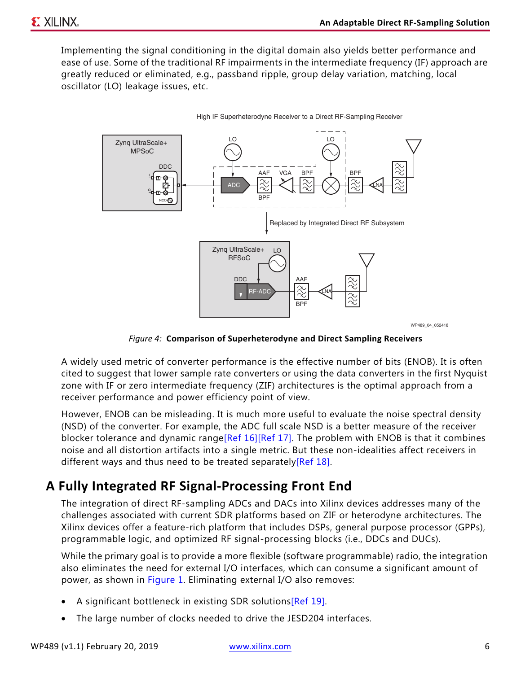Implementing the signal conditioning in the digital domain also yields better performance and ease of use. Some of the traditional RF impairments in the intermediate frequency (IF) approach are greatly reduced or eliminated, e.g., passband ripple, group delay variation, matching, local oscillator (LO) leakage issues, etc.

<span id="page-5-0"></span>

*Figure 4:* **Comparison of Superheterodyne and Direct Sampling Receivers**

A widely used metric of converter performance is the effective number of bits (ENOB). It is often cited to suggest that lower sample rate converters or using the data converters in the first Nyquist zone with IF or zero intermediate frequency (ZIF) architectures is the optimal approach from a receiver performance and power efficiency point of view.

However, ENOB can be misleading. It is much more useful to evaluate the noise spectral density (NSD) of the converter. For example, the ADC full scale NSD is a better measure of the receiver blocker tolerance and dynamic range[\[Ref 16\]](#page-10-16)[\[Ref 17\].](#page-10-18) The problem with ENOB is that it combines noise and all distortion artifacts into a single metric. But these non-idealities affect receivers in different ways and thus need to be treated separately[\[Ref 18\]](#page-10-17).

## **A Fully Integrated RF Signal-Processing Front End**

The integration of direct RF-sampling ADCs and DACs into Xilinx devices addresses many of the challenges associated with current SDR platforms based on ZIF or heterodyne architectures. The Xilinx devices offer a feature-rich platform that includes DSPs, general purpose processor (GPPs), programmable logic, and optimized RF signal-processing blocks (i.e., DDCs and DUCs).

While the primary goal is to provide a more flexible (software programmable) radio, the integration also eliminates the need for external I/O interfaces, which can consume a significant amount of power, as shown in [Figure 1.](#page-2-0) Eliminating external I/O also removes:

- A significant bottleneck in existing SDR solutions[\[Ref 19\].](#page-10-15)
- The large number of clocks needed to drive the JESD204 interfaces.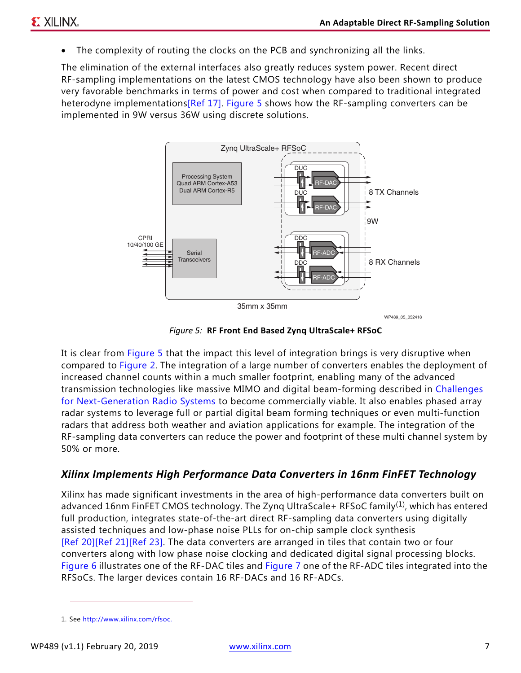The complexity of routing the clocks on the PCB and synchronizing all the links.

The elimination of the external interfaces also greatly reduces system power. Recent direct RF-sampling implementations on the latest CMOS technology have also been shown to produce very favorable benchmarks in terms of power and cost when compared to traditional integrated heterodyne implementation[s\[Ref 17\]](#page-10-18). [Figure 5](#page-6-0) shows how the RF-sampling converters can be implemented in 9W versus 36W using discrete solutions.

<span id="page-6-0"></span>

WP489\_05\_052418

*Figure 5:* **RF Front End Based Zynq UltraScale+ RFSoC**

It is clear from [Figure 5](#page-6-0) that the impact this level of integration brings is very disruptive when compared to [Figure 2.](#page-3-0) The integration of a large number of converters enables the deployment of increased channel counts within a much smaller footprint, enabling many of the advanced transmission technologies like massive MIMO and digital beam-forming described in [Challenges](#page-1-1)  [for Next-Generation Radio Systems](#page-1-1) to become commercially viable. It also enables phased array radar systems to leverage full or partial digital beam forming techniques or even multi-function radars that address both weather and aviation applications for example. The integration of the RF-sampling data converters can reduce the power and footprint of these multi channel system by 50% or more.

#### *Xilinx Implements High Performance Data Converters in 16nm FinFET Technology*

Xilinx has made significant investments in the area of high-performance data converters built on advanced 16nm FinFET CMOS technology. The Zyng UltraScale+ RFSoC family<sup>(1)</sup>, which has entered full production, integrates state-of-the-art direct RF-sampling data converters using digitally assisted techniques and low-phase noise PLLs for on-chip sample clock synthesis [\[Ref 20\]](#page-10-19)[\[Ref 21\]](#page-10-20)[\[Ref 23\].](#page-10-21) The data converters are arranged in tiles that contain two or four converters along with low phase noise clocking and dedicated digital signal processing blocks. [Figure 6](#page-7-0) illustrates one of the RF-DAC tiles and [Figure 7](#page-7-1) one of the RF-ADC tiles integrated into the RFSoCs. The larger devices contain 16 RF-DACs and 16 RF-ADCs.

<sup>1.</sup> See [http://www.xilinx.com/rfsoc.](http://www.xilinx.com/rfsoc)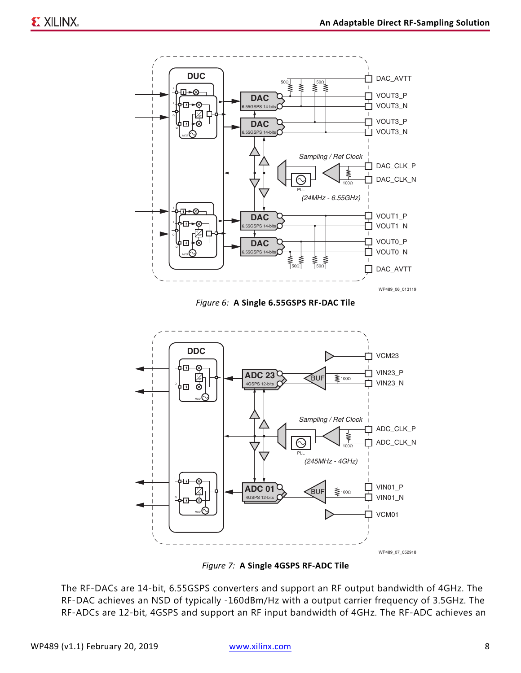<span id="page-7-0"></span>

*Figure 6:* **A Single 6.55GSPS RF-DAC Tile**

<span id="page-7-1"></span>

*Figure 7:* **A Single 4GSPS RF-ADC Tile**

The RF-DACs are 14-bit, 6.55GSPS converters and support an RF output bandwidth of 4GHz. The RF-DAC achieves an NSD of typically -160dBm/Hz with a output carrier frequency of 3.5GHz. The RF-ADCs are 12-bit, 4GSPS and support an RF input bandwidth of 4GHz. The RF-ADC achieves an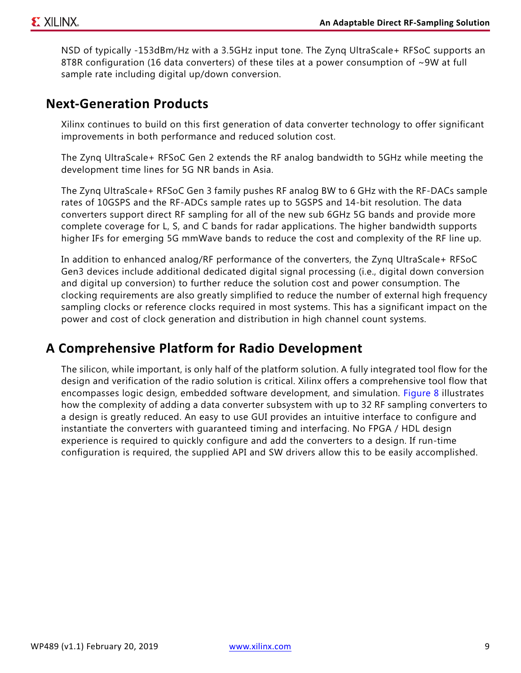NSD of typically -153dBm/Hz with a 3.5GHz input tone. The Zynq UltraScale+ RFSoC supports an 8T8R configuration (16 data converters) of these tiles at a power consumption of ~9W at full sample rate including digital up/down conversion.

### **Next-Generation Products**

Xilinx continues to build on this first generation of data converter technology to offer significant improvements in both performance and reduced solution cost.

The Zynq UltraScale+ RFSoC Gen 2 extends the RF analog bandwidth to 5GHz while meeting the development time lines for 5G NR bands in Asia.

The Zynq UltraScale+ RFSoC Gen 3 family pushes RF analog BW to 6 GHz with the RF-DACs sample rates of 10GSPS and the RF-ADCs sample rates up to 5GSPS and 14-bit resolution. The data converters support direct RF sampling for all of the new sub 6GHz 5G bands and provide more complete coverage for L, S, and C bands for radar applications. The higher bandwidth supports higher IFs for emerging 5G mmWave bands to reduce the cost and complexity of the RF line up.

In addition to enhanced analog/RF performance of the converters, the Zynq UltraScale+ RFSoC Gen3 devices include additional dedicated digital signal processing (i.e., digital down conversion and digital up conversion) to further reduce the solution cost and power consumption. The clocking requirements are also greatly simplified to reduce the number of external high frequency sampling clocks or reference clocks required in most systems. This has a significant impact on the power and cost of clock generation and distribution in high channel count systems.

### **A Comprehensive Platform for Radio Development**

The silicon, while important, is only half of the platform solution. A fully integrated tool flow for the design and verification of the radio solution is critical. Xilinx offers a comprehensive tool flow that encompasses logic design, embedded software development, and simulation. [Figure 8](#page-9-0) illustrates how the complexity of adding a data converter subsystem with up to 32 RF sampling converters to a design is greatly reduced. An easy to use GUI provides an intuitive interface to configure and instantiate the converters with guaranteed timing and interfacing. No FPGA / HDL design experience is required to quickly configure and add the converters to a design. If run-time configuration is required, the supplied API and SW drivers allow this to be easily accomplished.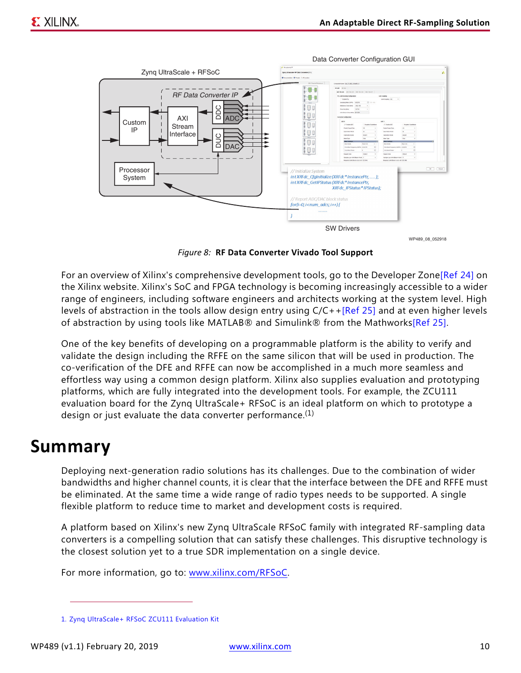<span id="page-9-0"></span>

*Figure 8:* **RF Data Converter Vivado Tool Support**

For an overview of Xilinx's comprehensive development tools, go to the Developer Zone[\[Ref 24\]](#page-10-23) on the Xilinx website. Xilinx's SoC and FPGA technology is becoming increasingly accessible to a wider range of engineers, including software engineers and architects working at the system level. High levels of abstraction in the tools allow design entry using C/C++[\[Ref 25\]](#page-10-22) and at even higher levels of abstraction by using tools like MATLAB® and Simulink® from the Mathworks[\[Ref 25\].](#page-10-22)

One of the key benefits of developing on a programmable platform is the ability to verify and validate the design including the RFFE on the same silicon that will be used in production. The co-verification of the DFE and RFFE can now be accomplished in a much more seamless and effortless way using a common design platform. Xilinx also supplies evaluation and prototyping platforms, which are fully integrated into the development tools. For example, the ZCU111 evaluation board for the Zynq UltraScale+ RFSoC is an ideal platform on which to prototype a design or just evaluate the data converter performance.<sup>(1)</sup>

## **Summary**

Deploying next-generation radio solutions has its challenges. Due to the combination of wider bandwidths and higher channel counts, it is clear that the interface between the DFE and RFFE must be eliminated. At the same time a wide range of radio types needs to be supported. A single flexible platform to reduce time to market and development costs is required.

A platform based on Xilinx's new Zynq UltraScale RFSoC family with integrated RF-sampling data converters is a compelling solution that can satisfy these challenges. This disruptive technology is the closest solution yet to a true SDR implementation on a single device.

For more information, go to: [www.xilinx.com/RFSoC.](www.xilinx.com/RFSoC)

<sup>1.</sup> [Zynq UltraScale+ RFSoC ZCU111 Evaluation Kit](https://www.xilinx.com/products/boards-and-kits/zcu111.html)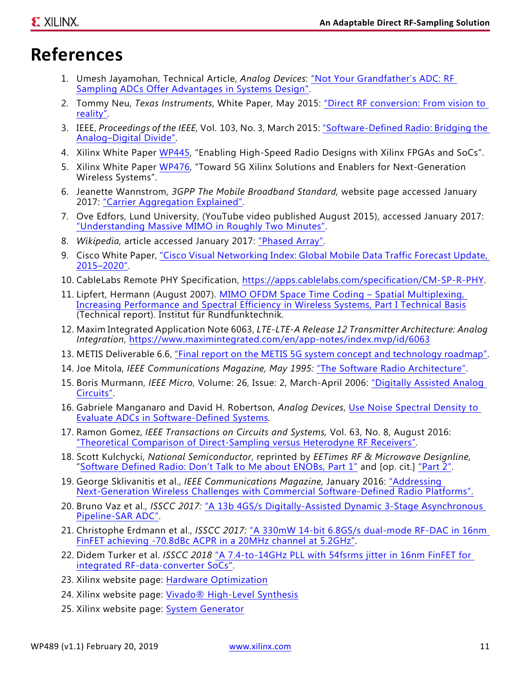## **References**

- <span id="page-10-0"></span>1. Umesh Jayamohan, Technical Article, *Analog Devices*: ["Not Your Grandfather's ADC: RF](http://www.analog.com/media/en/technical-documentation/technical-articles/not-your-grandfathers-adc-rf-sampling-adcs-offer-advantages-in-systems-design.pdf)  [Sampling ADCs Offer Advantages in Systems Design"](http://www.analog.com/media/en/technical-documentation/technical-articles/not-your-grandfathers-adc-rf-sampling-adcs-offer-advantages-in-systems-design.pdf).
- <span id="page-10-1"></span>2. Tommy Neu, *Texas Instruments*, White Paper, May 2015: ["Direct RF conversion: From vision to](http://www.ti.com/lit/slyy068)  [reality"](http://www.ti.com/lit/slyy068).
- <span id="page-10-2"></span>3. IEEE, *Proceedings of the IEEE,* Vol. 103, No. 3, March 2015: ["Software-Defined Radio: Bridging the](http://ieeexplore.ieee.org/abstract/document/7086416/)  [Analog–Digital Divide"](http://ieeexplore.ieee.org/abstract/document/7086416/).
- <span id="page-10-3"></span>4. Xilinx White Paper [WP445](https://www.xilinx.com/support/documentation/white_papers/wp445_hi-speed-radio-design.pdf), "Enabling High-Speed Radio Designs with Xilinx FPGAs and SoCs".
- <span id="page-10-4"></span>5. Xilinx White Paper [WP476](https://www.xilinx.com/support/documentation/white_papers/wp476-toward-5g.pdf), "Toward 5G Xilinx Solutions and Enablers for Next-Generation Wireless Systems".
- <span id="page-10-5"></span>6. Jeanette Wannstrom, *3GPP The Mobile Broadband Standard,* website page accessed January 2017: ["Carrier Aggregation Explained".](http://www.3gpp.org/technologies/keywords-acronyms/101-carrier-aggregation-explained)
- <span id="page-10-6"></span>7. Ove Edfors, Lund University, (YouTube video published August 2015), accessed January 2017: ["Understanding Massive MIMO in Roughly Two Minutes"](https://www.youtube.com/watch?v=XBb481RNqGw).
- <span id="page-10-9"></span>8. *Wikipedia,* article accessed January 2017: ["Phased Array"](https://en.wikipedia.org/wiki/Phased_array).
- <span id="page-10-7"></span>9. Cisco White Paper, ["Cisco Visual Networking Index: Global Mobile Data Traffic Forecast Update,](http://www.cisco.com/c/en/us/solutions/collateral/service-provider/visual-networking-index-vni/mobile-white-paper-c11-520862.pdf)  [2015–2020"](http://www.cisco.com/c/en/us/solutions/collateral/service-provider/visual-networking-index-vni/mobile-white-paper-c11-520862.pdf).
- <span id="page-10-8"></span>10. CableLabs Remote PHY Specification, [https://apps.cablelabs.com/specification/CM-SP-R-PHY.](https://www.cablelabs.com/wp-content/uploads/specdocs/CM-SP-R-PHY-I01_150615.pdf)
- <span id="page-10-11"></span>11. Lipfert, Hermann (August 2007). [MIMO OFDM Space Time Coding – Spatial Multiplexing,](http://www.irt.de/webarchiv/showdoc.php?z=OTAyIzEwMDYwMTMxMCNwZGY=)  [Increasing Performance and Spectral Efficiency in Wireless Systems, Part I Technical Basis](http://www.irt.de/webarchiv/showdoc.php?z=OTAyIzEwMDYwMTMxMCNwZGY=) (Technical report). Institut für Rundfunktechnik.
- <span id="page-10-10"></span>12. Maxim Integrated Application Note 6063, *LTE-LTE-A Release 12 Transmitter Architecture: Analog Integration*, <https://www.maximintegrated.com/en/app-notes/index.mvp/id/6063>
- <span id="page-10-12"></span>13. METIS Deliverable 6.6, ["Final report on the METIS 5G system concept and technology roadmap".](https://www.metis2020.com/wp-content/uploads/deliverables/METIS_D6.6_v1.pdf)
- <span id="page-10-13"></span>14. Joe Mitola, *IEEE Communications Magazine, May 1995:* ["The Software Radio Architecture".](https://ieeexplore.ieee.org/document/393001 )
- <span id="page-10-14"></span>15. Boris Murmann, *IEEE Micro*, Volume: 26, Issue: 2, March-April 2006: ["Digitally Assisted Analog](https://ieeexplore.ieee.org/document/1624325/)  [Circuits".](https://ieeexplore.ieee.org/document/1624325/)
- <span id="page-10-16"></span>16. Gabriele Manganaro and David H. Robertson, *Analog Devices*, [Use Noise Spectral Density to](http://www.analog.com/en/technical-articles/use-noise-spectral-density-to-evaluate-adcs-in-software-defined-systems.html  )  [Evaluate ADCs in Software-Defined Systems](http://www.analog.com/en/technical-articles/use-noise-spectral-density-to-evaluate-adcs-in-software-defined-systems.html  )*.*
- <span id="page-10-18"></span>17. Ramon Gomez, *IEEE Transactions on Circuits and Systems,* Vol. 63, No. 8, August 2016: ["Theoretical Comparison of Direct-Sampling versus Heterodyne RF Receivers".](http://ieeexplore.ieee.org/document/7516638/)
- <span id="page-10-17"></span>18. Scott Kulchycki, *National Semiconductor*, reprinted by *EETimes RF & Microwave Designline,* ["Software Defined Radio: Don't Talk to Me about ENOBs, Part 1"](http://i.cmpnet.com/rfdesignline/2010/09/807_ENOBS_pt1.pdf) and [op. cit.] ["Part 2".](http://i.cmpnet.com/rfdesignline/2010/09/808_ENOBS_pt2.pdf)
- <span id="page-10-15"></span>19. George Sklivanitis et al., *IEEE Communications Magazine,* January 2016: ["Addressing](http://ieeexplore.ieee.org/abstract/document/7378427/?section=abstract)  [Next-Generation Wireless Challenges with Commercial Software-Defined Radio Platforms".](http://ieeexplore.ieee.org/abstract/document/7378427/?section=abstract)
- <span id="page-10-19"></span>20. Bruno Vaz et al., *ISSCC 2017:* ["A 13b 4GS/s Digitally-Assisted Dynamic 3-Stage Asynchronous](https://ieeexplore.ieee.org/document/7870368/ )  [Pipeline-SAR ADC".](https://ieeexplore.ieee.org/document/7870368/ )
- <span id="page-10-20"></span>21. Christophe Erdmann et al., *ISSCC 2017:* ["A 330mW 14-bit 6.8GS/s dual-mode RF-DAC in 16nm](https://ieeexplore.ieee.org/document/7870370/)  [FinFET achieving -70.8dBc ACPR in a 20MHz channel at 5.2GHz"](https://ieeexplore.ieee.org/document/7870370/).
- 22. Didem Turker et al. *ISSCC 2018* ["A 7.4-to-14GHz PLL with 54fsrms jitter in 16nm FinFET for](https://ieeexplore.ieee.org/document/8310342/)  [integrated RF-data-converter SoCs"](https://ieeexplore.ieee.org/document/8310342/).
- <span id="page-10-21"></span>23. Xilinx website page: [Hardware Optimization](https://www.xilinx.com/products/design-tools/hardware-zone.html)
- <span id="page-10-23"></span>24. Xilinx website page: [Vivado® High-Level Synthesis](https://www.xilinx.com/video/hardware/getting-started-vivado-high-level-synthesis.html)
- <span id="page-10-22"></span>25. Xilinx website page: [System Generator](https://www.xilinx.com/video/hardware/introduction-to-system-generator.html)